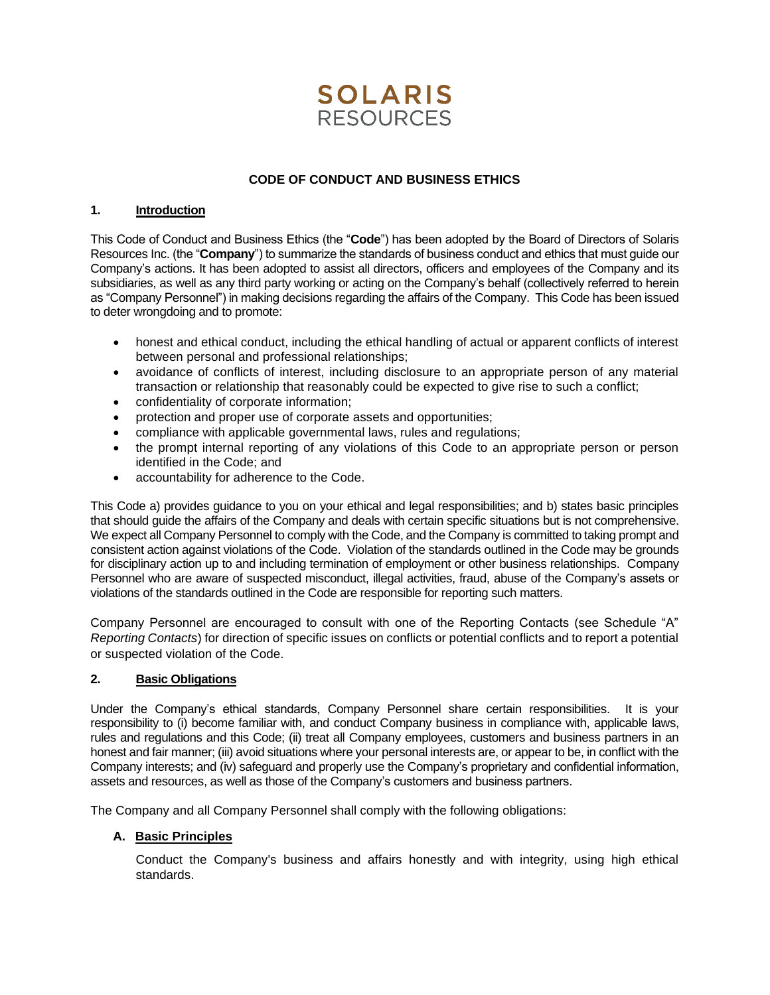

# **CODE OF CONDUCT AND BUSINESS ETHICS**

#### **1. Introduction**

This Code of Conduct and Business Ethics (the "**Code**") has been adopted by the Board of Directors of Solaris Resources Inc. (the "**Company**") to summarize the standards of business conduct and ethics that must guide our Company's actions. It has been adopted to assist all directors, officers and employees of the Company and its subsidiaries, as well as any third party working or acting on the Company's behalf (collectively referred to herein as "Company Personnel") in making decisions regarding the affairs of the Company. This Code has been issued to deter wrongdoing and to promote:

- honest and ethical conduct, including the ethical handling of actual or apparent conflicts of interest between personal and professional relationships;
- avoidance of conflicts of interest, including disclosure to an appropriate person of any material transaction or relationship that reasonably could be expected to give rise to such a conflict;
- confidentiality of corporate information;
- protection and proper use of corporate assets and opportunities;
- compliance with applicable governmental laws, rules and regulations;
- the prompt internal reporting of any violations of this Code to an appropriate person or person identified in the Code; and
- accountability for adherence to the Code.

This Code a) provides guidance to you on your ethical and legal responsibilities; and b) states basic principles that should guide the affairs of the Company and deals with certain specific situations but is not comprehensive. We expect all Company Personnel to comply with the Code, and the Company is committed to taking prompt and consistent action against violations of the Code. Violation of the standards outlined in the Code may be grounds for disciplinary action up to and including termination of employment or other business relationships. Company Personnel who are aware of suspected misconduct, illegal activities, fraud, abuse of the Company's assets or violations of the standards outlined in the Code are responsible for reporting such matters.

Company Personnel are encouraged to consult with one of the Reporting Contacts (see Schedule "A" *Reporting Contacts*) for direction of specific issues on conflicts or potential conflicts and to report a potential or suspected violation of the Code.

#### **2. Basic Obligations**

Under the Company's ethical standards, Company Personnel share certain responsibilities. It is your responsibility to (i) become familiar with, and conduct Company business in compliance with, applicable laws, rules and regulations and this Code; (ii) treat all Company employees, customers and business partners in an honest and fair manner; (iii) avoid situations where your personal interests are, or appear to be, in conflict with the Company interests; and (iv) safeguard and properly use the Company's proprietary and confidential information, assets and resources, as well as those of the Company's customers and business partners.

The Company and all Company Personnel shall comply with the following obligations:

## **A. Basic Principles**

Conduct the Company's business and affairs honestly and with integrity, using high ethical standards.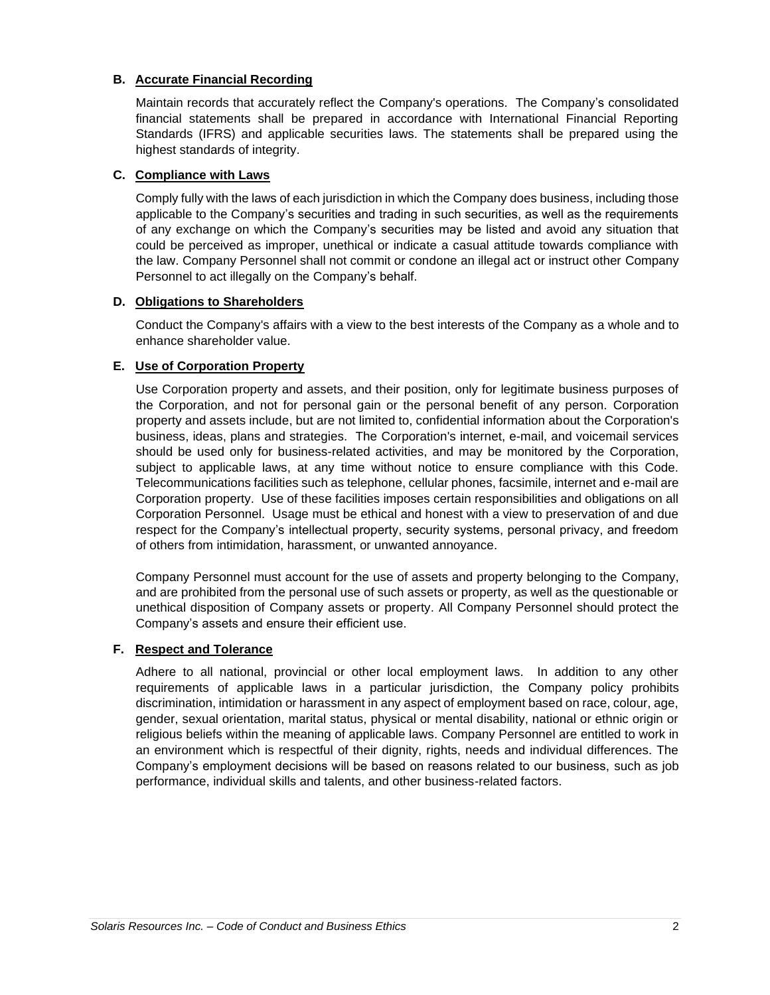# **B. Accurate Financial Recording**

Maintain records that accurately reflect the Company's operations. The Company's consolidated financial statements shall be prepared in accordance with International Financial Reporting Standards (IFRS) and applicable securities laws. The statements shall be prepared using the highest standards of integrity.

### **C. Compliance with Laws**

Comply fully with the laws of each jurisdiction in which the Company does business, including those applicable to the Company's securities and trading in such securities, as well as the requirements of any exchange on which the Company's securities may be listed and avoid any situation that could be perceived as improper, unethical or indicate a casual attitude towards compliance with the law. Company Personnel shall not commit or condone an illegal act or instruct other Company Personnel to act illegally on the Company's behalf.

## **D. Obligations to Shareholders**

Conduct the Company's affairs with a view to the best interests of the Company as a whole and to enhance shareholder value.

## **E. Use of Corporation Property**

Use Corporation property and assets, and their position, only for legitimate business purposes of the Corporation, and not for personal gain or the personal benefit of any person. Corporation property and assets include, but are not limited to, confidential information about the Corporation's business, ideas, plans and strategies. The Corporation's internet, e-mail, and voicemail services should be used only for business-related activities, and may be monitored by the Corporation, subject to applicable laws, at any time without notice to ensure compliance with this Code. Telecommunications facilities such as telephone, cellular phones, facsimile, internet and e-mail are Corporation property. Use of these facilities imposes certain responsibilities and obligations on all Corporation Personnel. Usage must be ethical and honest with a view to preservation of and due respect for the Company's intellectual property, security systems, personal privacy, and freedom of others from intimidation, harassment, or unwanted annoyance.

Company Personnel must account for the use of assets and property belonging to the Company, and are prohibited from the personal use of such assets or property, as well as the questionable or unethical disposition of Company assets or property. All Company Personnel should protect the Company's assets and ensure their efficient use.

## **F. Respect and Tolerance**

Adhere to all national, provincial or other local employment laws. In addition to any other requirements of applicable laws in a particular jurisdiction, the Company policy prohibits discrimination, intimidation or harassment in any aspect of employment based on race, colour, age, gender, sexual orientation, marital status, physical or mental disability, national or ethnic origin or religious beliefs within the meaning of applicable laws. Company Personnel are entitled to work in an environment which is respectful of their dignity, rights, needs and individual differences. The Company's employment decisions will be based on reasons related to our business, such as job performance, individual skills and talents, and other business-related factors.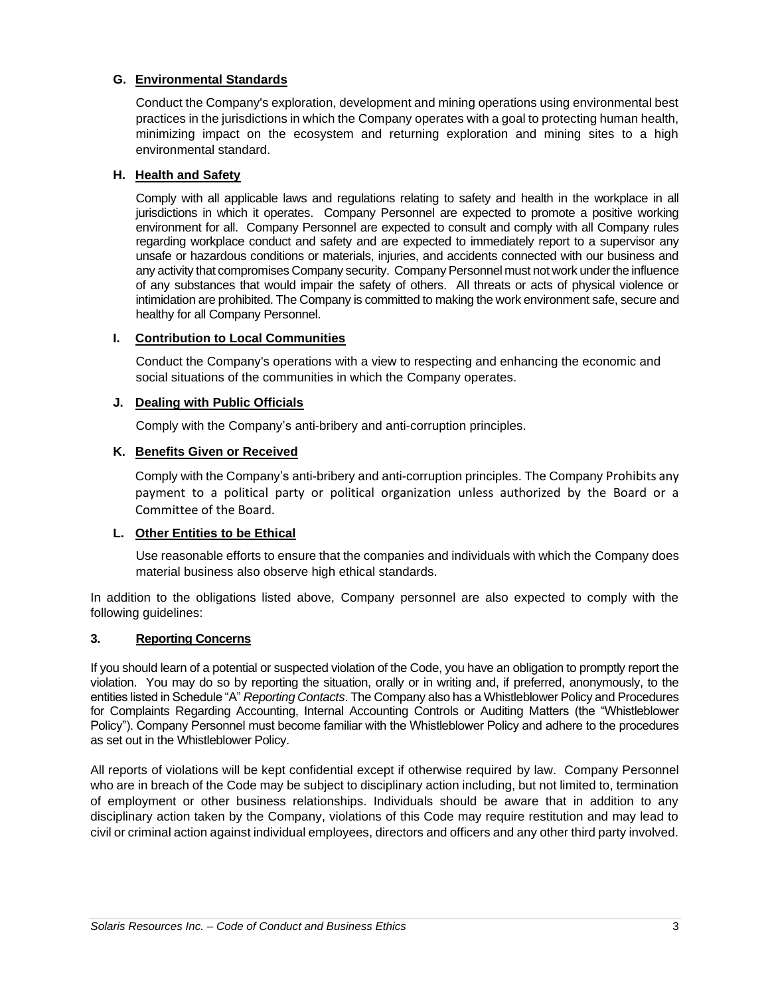# **G. Environmental Standards**

Conduct the Company's exploration, development and mining operations using environmental best practices in the jurisdictions in which the Company operates with a goal to protecting human health, minimizing impact on the ecosystem and returning exploration and mining sites to a high environmental standard.

### **H. Health and Safety**

Comply with all applicable laws and regulations relating to safety and health in the workplace in all jurisdictions in which it operates. Company Personnel are expected to promote a positive working environment for all. Company Personnel are expected to consult and comply with all Company rules regarding workplace conduct and safety and are expected to immediately report to a supervisor any unsafe or hazardous conditions or materials, injuries, and accidents connected with our business and any activity that compromises Company security. Company Personnel must not work under the influence of any substances that would impair the safety of others. All threats or acts of physical violence or intimidation are prohibited. The Company is committed to making the work environment safe, secure and healthy for all Company Personnel.

## **I. Contribution to Local Communities**

Conduct the Company's operations with a view to respecting and enhancing the economic and social situations of the communities in which the Company operates.

### **J. Dealing with Public Officials**

Comply with the Company's anti-bribery and anti-corruption principles.

### **K. Benefits Given or Received**

Comply with the Company's anti-bribery and anti-corruption principles. The Company Prohibits any payment to a political party or political organization unless authorized by the Board or a Committee of the Board.

## **L. Other Entities to be Ethical**

Use reasonable efforts to ensure that the companies and individuals with which the Company does material business also observe high ethical standards.

In addition to the obligations listed above, Company personnel are also expected to comply with the following guidelines:

#### **3. Reporting Concerns**

If you should learn of a potential or suspected violation of the Code, you have an obligation to promptly report the violation. You may do so by reporting the situation, orally or in writing and, if preferred, anonymously, to the entities listed in Schedule "A" *Reporting Contacts*. The Company also has a Whistleblower Policy and Procedures for Complaints Regarding Accounting, Internal Accounting Controls or Auditing Matters (the "Whistleblower Policy"). Company Personnel must become familiar with the Whistleblower Policy and adhere to the procedures as set out in the Whistleblower Policy.

All reports of violations will be kept confidential except if otherwise required by law. Company Personnel who are in breach of the Code may be subject to disciplinary action including, but not limited to, termination of employment or other business relationships. Individuals should be aware that in addition to any disciplinary action taken by the Company, violations of this Code may require restitution and may lead to civil or criminal action against individual employees, directors and officers and any other third party involved.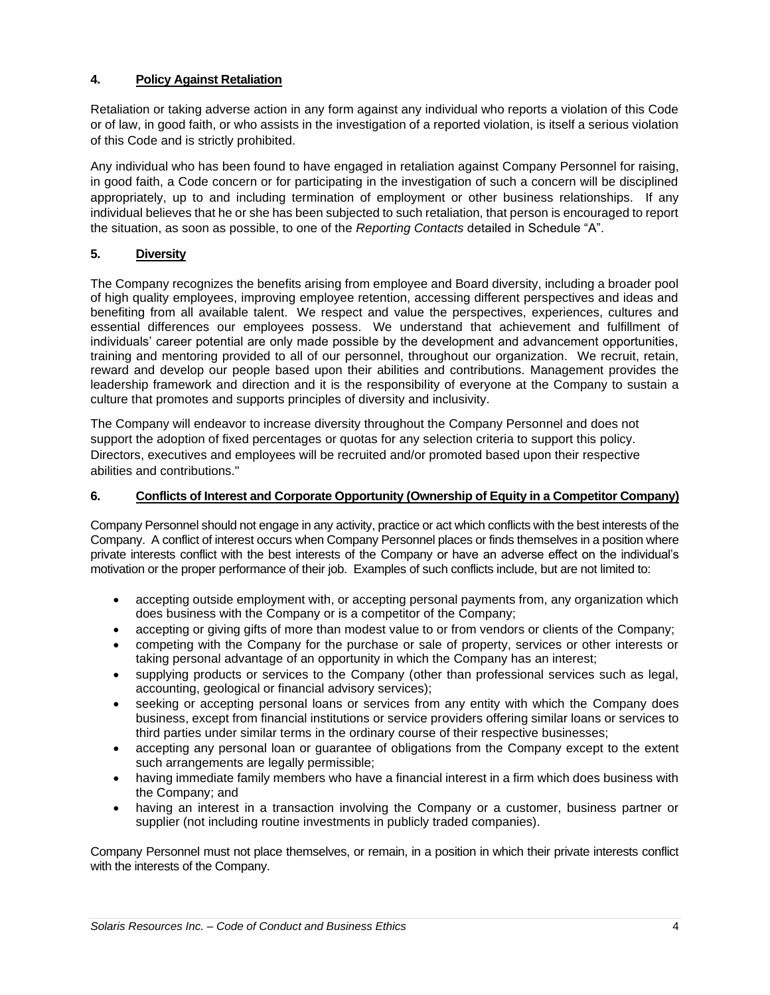# **4. Policy Against Retaliation**

Retaliation or taking adverse action in any form against any individual who reports a violation of this Code or of law, in good faith, or who assists in the investigation of a reported violation, is itself a serious violation of this Code and is strictly prohibited.

Any individual who has been found to have engaged in retaliation against Company Personnel for raising, in good faith, a Code concern or for participating in the investigation of such a concern will be disciplined appropriately, up to and including termination of employment or other business relationships. If any individual believes that he or she has been subjected to such retaliation, that person is encouraged to report the situation, as soon as possible, to one of the *Reporting Contacts* detailed in Schedule "A".

# **5. Diversity**

The Company recognizes the benefits arising from employee and Board diversity, including a broader pool of high quality employees, improving employee retention, accessing different perspectives and ideas and benefiting from all available talent. We respect and value the perspectives, experiences, cultures and essential differences our employees possess. We understand that achievement and fulfillment of individuals' career potential are only made possible by the development and advancement opportunities, training and mentoring provided to all of our personnel, throughout our organization. We recruit, retain, reward and develop our people based upon their abilities and contributions. Management provides the leadership framework and direction and it is the responsibility of everyone at the Company to sustain a culture that promotes and supports principles of diversity and inclusivity.

The Company will endeavor to increase diversity throughout the Company Personnel and does not support the adoption of fixed percentages or quotas for any selection criteria to support this policy. Directors, executives and employees will be recruited and/or promoted based upon their respective abilities and contributions."

# **6. Conflicts of Interest and Corporate Opportunity (Ownership of Equity in a Competitor Company)**

Company Personnel should not engage in any activity, practice or act which conflicts with the best interests of the Company. A conflict of interest occurs when Company Personnel places or finds themselves in a position where private interests conflict with the best interests of the Company or have an adverse effect on the individual's motivation or the proper performance of their job. Examples of such conflicts include, but are not limited to:

- accepting outside employment with, or accepting personal payments from, any organization which does business with the Company or is a competitor of the Company;
- accepting or giving gifts of more than modest value to or from vendors or clients of the Company;
- competing with the Company for the purchase or sale of property, services or other interests or taking personal advantage of an opportunity in which the Company has an interest;
- supplying products or services to the Company (other than professional services such as legal, accounting, geological or financial advisory services);
- seeking or accepting personal loans or services from any entity with which the Company does business, except from financial institutions or service providers offering similar loans or services to third parties under similar terms in the ordinary course of their respective businesses;
- accepting any personal loan or guarantee of obligations from the Company except to the extent such arrangements are legally permissible;
- having immediate family members who have a financial interest in a firm which does business with the Company; and
- having an interest in a transaction involving the Company or a customer, business partner or supplier (not including routine investments in publicly traded companies).

Company Personnel must not place themselves, or remain, in a position in which their private interests conflict with the interests of the Company.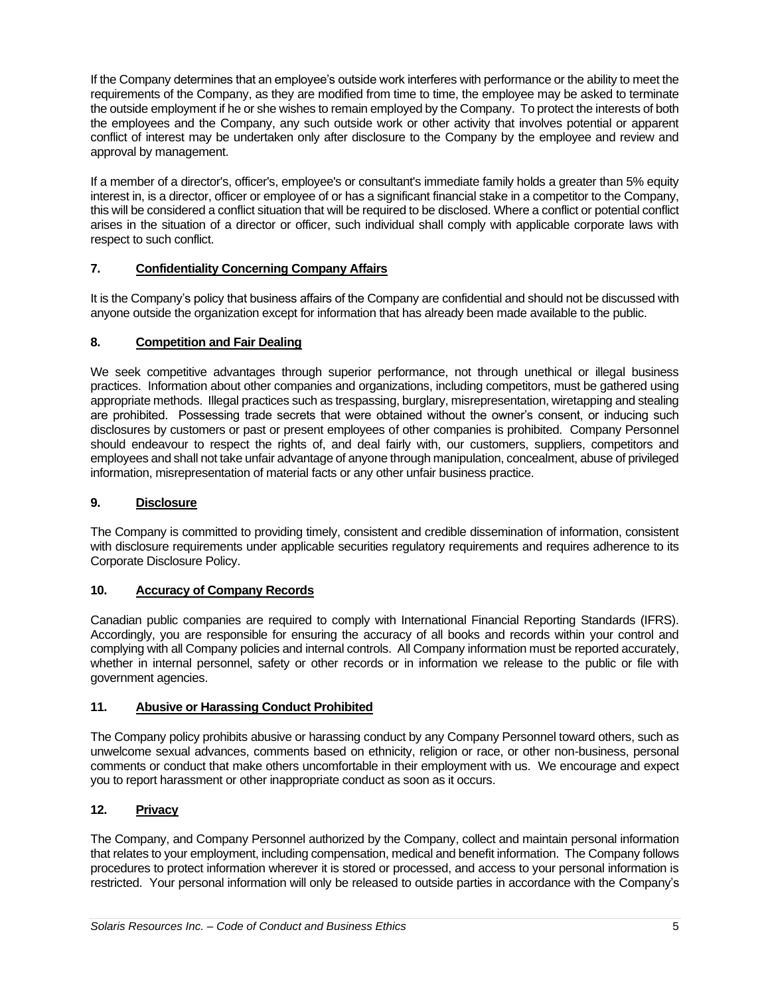If the Company determines that an employee's outside work interferes with performance or the ability to meet the requirements of the Company, as they are modified from time to time, the employee may be asked to terminate the outside employment if he or she wishes to remain employed by the Company. To protect the interests of both the employees and the Company, any such outside work or other activity that involves potential or apparent conflict of interest may be undertaken only after disclosure to the Company by the employee and review and approval by management.

If a member of a director's, officer's, employee's or consultant's immediate family holds a greater than 5% equity interest in, is a director, officer or employee of or has a significant financial stake in a competitor to the Company, this will be considered a conflict situation that will be required to be disclosed. Where a conflict or potential conflict arises in the situation of a director or officer, such individual shall comply with applicable corporate laws with respect to such conflict.

# **7. Confidentiality Concerning Company Affairs**

It is the Company's policy that business affairs of the Company are confidential and should not be discussed with anyone outside the organization except for information that has already been made available to the public.

## **8. Competition and Fair Dealing**

We seek competitive advantages through superior performance, not through unethical or illegal business practices. Information about other companies and organizations, including competitors, must be gathered using appropriate methods. Illegal practices such as trespassing, burglary, misrepresentation, wiretapping and stealing are prohibited. Possessing trade secrets that were obtained without the owner's consent, or inducing such disclosures by customers or past or present employees of other companies is prohibited. Company Personnel should endeavour to respect the rights of, and deal fairly with, our customers, suppliers, competitors and employees and shall not take unfair advantage of anyone through manipulation, concealment, abuse of privileged information, misrepresentation of material facts or any other unfair business practice.

## **9. Disclosure**

The Company is committed to providing timely, consistent and credible dissemination of information, consistent with disclosure requirements under applicable securities regulatory requirements and requires adherence to its Corporate Disclosure Policy.

## **10. Accuracy of Company Records**

Canadian public companies are required to comply with International Financial Reporting Standards (IFRS). Accordingly, you are responsible for ensuring the accuracy of all books and records within your control and complying with all Company policies and internal controls. All Company information must be reported accurately, whether in internal personnel, safety or other records or in information we release to the public or file with government agencies.

## **11. Abusive or Harassing Conduct Prohibited**

The Company policy prohibits abusive or harassing conduct by any Company Personnel toward others, such as unwelcome sexual advances, comments based on ethnicity, religion or race, or other non-business, personal comments or conduct that make others uncomfortable in their employment with us. We encourage and expect you to report harassment or other inappropriate conduct as soon as it occurs.

## **12. Privacy**

The Company, and Company Personnel authorized by the Company, collect and maintain personal information that relates to your employment, including compensation, medical and benefit information. The Company follows procedures to protect information wherever it is stored or processed, and access to your personal information is restricted. Your personal information will only be released to outside parties in accordance with the Company's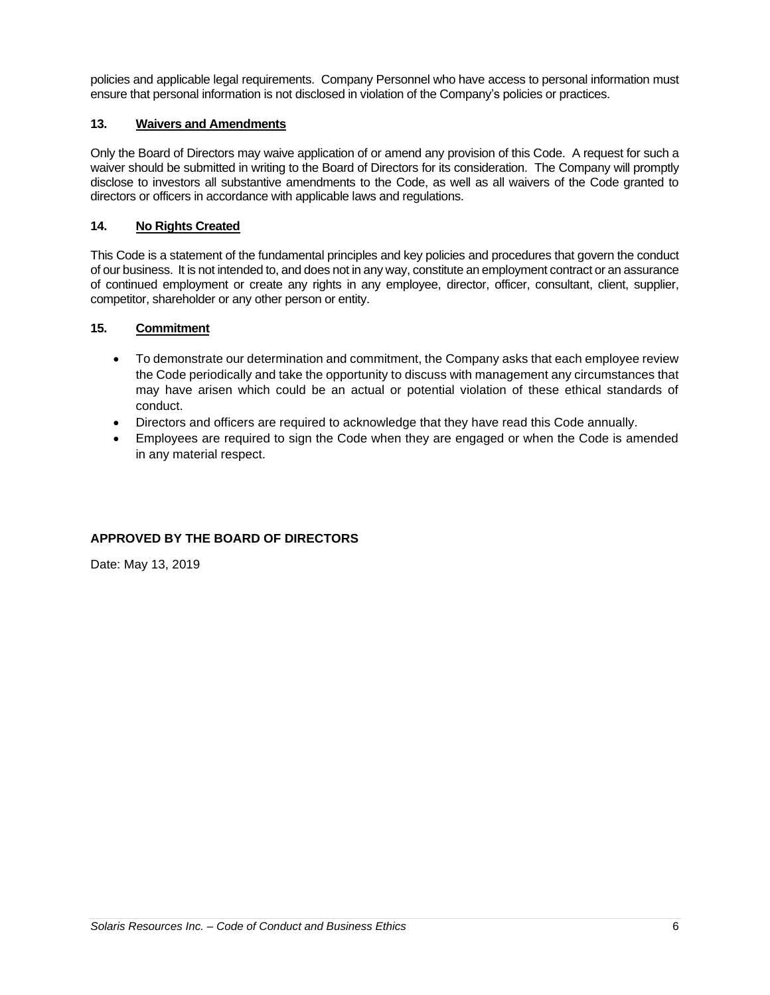policies and applicable legal requirements. Company Personnel who have access to personal information must ensure that personal information is not disclosed in violation of the Company's policies or practices.

# **13. Waivers and Amendments**

Only the Board of Directors may waive application of or amend any provision of this Code. A request for such a waiver should be submitted in writing to the Board of Directors for its consideration. The Company will promptly disclose to investors all substantive amendments to the Code, as well as all waivers of the Code granted to directors or officers in accordance with applicable laws and regulations.

# **14. No Rights Created**

This Code is a statement of the fundamental principles and key policies and procedures that govern the conduct of our business. It is not intended to, and does not in any way, constitute an employment contract or an assurance of continued employment or create any rights in any employee, director, officer, consultant, client, supplier, competitor, shareholder or any other person or entity.

## **15. Commitment**

- To demonstrate our determination and commitment, the Company asks that each employee review the Code periodically and take the opportunity to discuss with management any circumstances that may have arisen which could be an actual or potential violation of these ethical standards of conduct.
- Directors and officers are required to acknowledge that they have read this Code annually.
- Employees are required to sign the Code when they are engaged or when the Code is amended in any material respect.

# **APPROVED BY THE BOARD OF DIRECTORS**

Date: May 13, 2019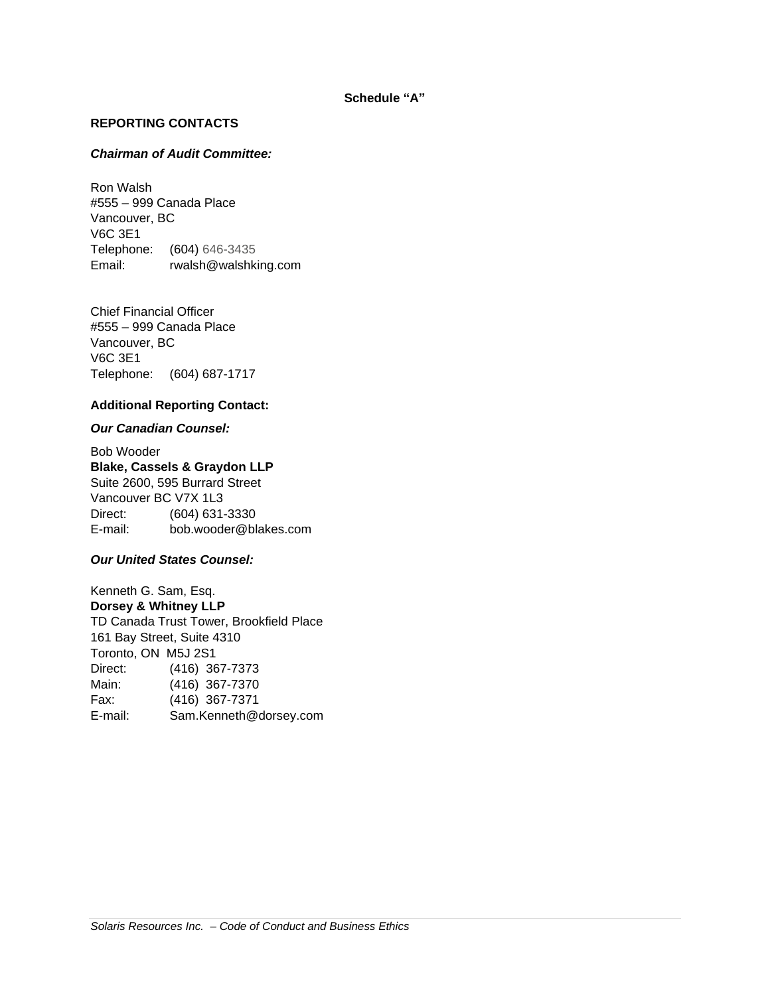#### **Schedule "A"**

### **REPORTING CONTACTS**

### *Chairman of Audit Committee:*

Ron Walsh #555 – 999 Canada Place Vancouver, BC V6C 3E1 Telephone: (604) 646-3435 Email: rwalsh@walshking.com

Chief Financial Officer #555 – 999 Canada Place Vancouver, BC V6C 3E1 Telephone: (604) 687-1717

## **Additional Reporting Contact:**

### *Our Canadian Counsel:*

Bob Wooder **Blake, Cassels & Graydon LLP** Suite 2600, 595 Burrard Street Vancouver BC V7X 1L3 Direct: (604) 631-3330 E-mail: bob.wooder@blakes.com

### *Our United States Counsel:*

Kenneth G. Sam, Esq. **Dorsey & Whitney LLP** TD Canada Trust Tower, Brookfield Place 161 Bay Street, Suite 4310 Toronto, ON M5J 2S1 Direct: (416) 367-7373 Main: (416) 367-7370 Fax: (416) 367-7371 E-mail: Sam.Kenneth@dorsey.com